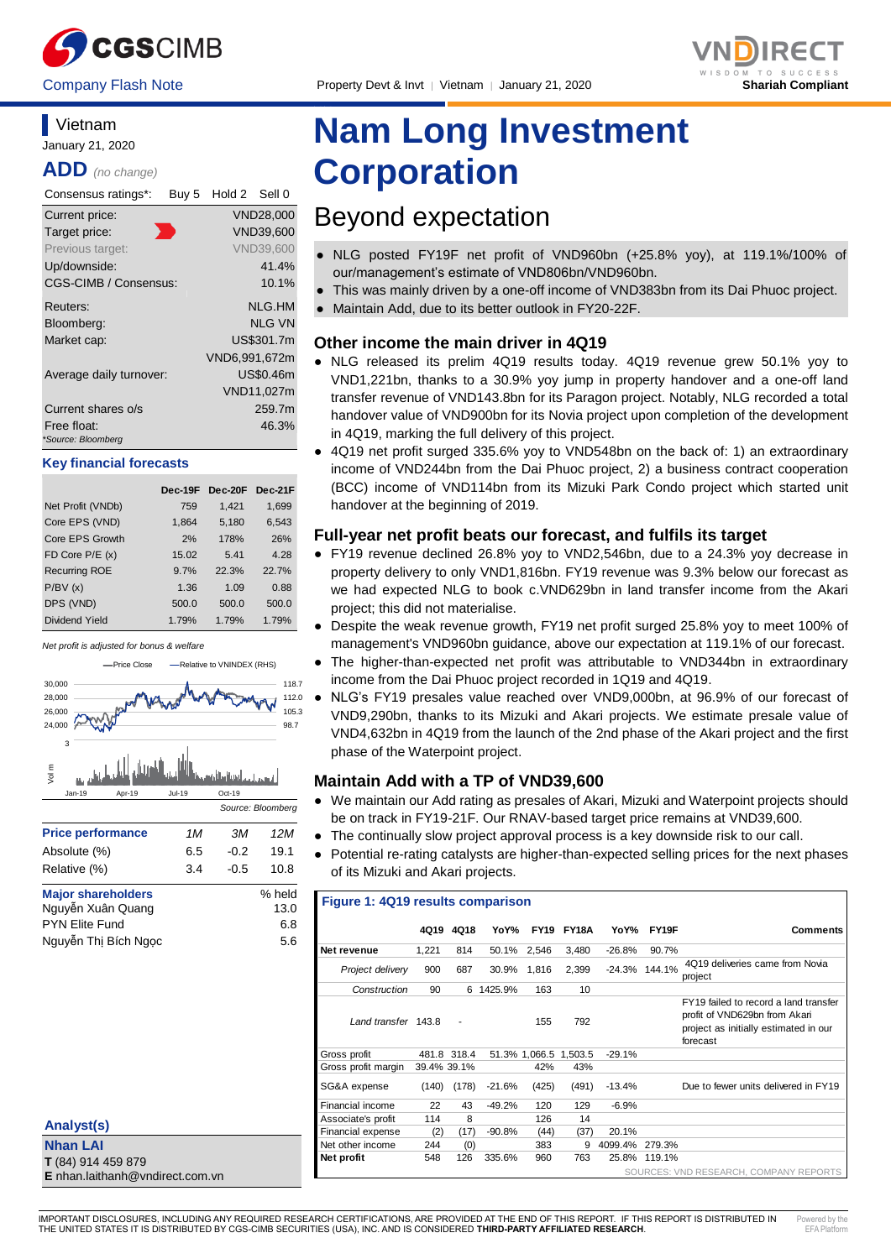



#### **Vietnam** January 21, 2020

**ADD** *(no change)*

| Consensus ratings*:               | Buy 5 | Hold 2 Sell 0 |                  |
|-----------------------------------|-------|---------------|------------------|
| Current price:                    |       |               | VND28,000        |
| Target price:                     |       |               | VND39.600        |
| Previous target:                  |       |               | <b>VND39.600</b> |
| Up/downside:                      |       |               | 41.4%            |
| CGS-CIMB / Consensus:             |       |               | 10.1%            |
| Reuters:                          |       |               | NLG.HM           |
| Bloomberg:                        |       |               | <b>NLG VN</b>    |
| Market cap:                       |       |               | US\$301.7m       |
|                                   |       | VND6,991,672m |                  |
| Average daily turnover:           |       |               | US\$0.46m        |
|                                   |       |               | VND11,027m       |
| Current shares o/s                |       |               | 259.7m           |
| Free float:<br>*Source: Bloomberg |       |               | 46.3%            |

#### **Key financial forecasts**

|                      | Dec-19F |       | $Dec-20F$ | Dec-21F |
|----------------------|---------|-------|-----------|---------|
| Net Profit (VNDb)    |         | 759   | 1,421     | 1,699   |
| Core EPS (VND)       |         | 1,864 | 5,180     | 6,543   |
| Core EPS Growth      |         | 2%    | 178%      | 26%     |
| FD Core $P/E(x)$     |         | 15.02 | 5.41      | 4.28    |
| <b>Recurring ROE</b> |         | 9.7%  | 22.3%     | 22.7%   |
| P/BV(x)              |         | 1.36  | 1.09      | 0.88    |
| DPS (VND)            |         | 500.0 | 500.0     | 500.0   |
| Dividend Yield       |         | 1.79% | 1.79%     | 1.79%   |

*Net profit is adjusted for bonus & welfare*



| .                         |  |        |
|---------------------------|--|--------|
| <b>Major shareholders</b> |  | % held |
| Nguyễn Xuân Quang         |  | 13.0   |
| <b>PYN Elite Fund</b>     |  | 6.8    |
| Nguyễn Thị Bích Ngọc      |  | 5.6    |

| Analyst(s)                             |
|----------------------------------------|
| <b>Nhan LAI</b>                        |
| T (84) 914 459 879                     |
| <b>E</b> nhan.laithanh@vndirect.com.vn |

# **Nam Long Investment Corporation**

## Beyond expectation

- NLG posted FY19F net profit of VND960bn (+25.8% yoy), at 119.1%/100% of our/management's estimate of VND806bn/VND960bn.
- This was mainly driven by a one-off income of VND383bn from its Dai Phuoc project.
- Maintain Add, due to its better outlook in FY20-22F.

#### **Other income the main driver in 4Q19**

- NLG released its prelim 4Q19 results today. 4Q19 revenue grew 50.1% yoy to VND1,221bn, thanks to a 30.9% yoy jump in property handover and a one-off land transfer revenue of VND143.8bn for its Paragon project. Notably, NLG recorded a total handover value of VND900bn for its Novia project upon completion of the development in 4Q19, marking the full delivery of this project.
- 4Q19 net profit surged 335.6% yoy to VND548bn on the back of: 1) an extraordinary income of VND244bn from the Dai Phuoc project, 2) a business contract cooperation (BCC) income of VND114bn from its Mizuki Park Condo project which started unit handover at the beginning of 2019.

#### **Full-year net profit beats our forecast, and fulfils its target**

- FY19 revenue declined 26.8% yoy to VND2,546bn, due to a 24.3% yoy decrease in property delivery to only VND1,816bn. FY19 revenue was 9.3% below our forecast as we had expected NLG to book c.VND629bn in land transfer income from the Akari project; this did not materialise.
- Despite the weak revenue growth, FY19 net profit surged 25.8% yoy to meet 100% of management's VND960bn guidance, above our expectation at 119.1% of our forecast.
- The higher-than-expected net profit was attributable to VND344bn in extraordinary income from the Dai Phuoc project recorded in 1Q19 and 4Q19.
- NLG's FY19 presales value reached over VND9,000bn, at 96.9% of our forecast of VND9,290bn, thanks to its Mizuki and Akari projects. We estimate presale value of VND4,632bn in 4Q19 from the launch of the 2nd phase of the Akari project and the first phase of the Waterpoint project.

### **Maintain Add with a TP of VND39,600**

- We maintain our Add rating as presales of Akari, Mizuki and Waterpoint projects should be on track in FY19-21F. Our RNAV-based target price remains at VND39,600.
- The continually slow project approval process is a key downside risk to our call.
- Potential re-rating catalysts are higher-than-expected selling prices for the next phases of its Mizuki and Akari projects.

#### **Figure 1: 4Q19 results comparison**

|                          |             | 4Q19 4Q18   | YoY%      |                       | <b>FY19 FY18A</b> | YoY%     | FY19F            | <b>Comments</b>                                                                                                             |
|--------------------------|-------------|-------------|-----------|-----------------------|-------------------|----------|------------------|-----------------------------------------------------------------------------------------------------------------------------|
| Net revenue              | 1.221       | 814         |           | 50.1% 2,546           | 3.480             | $-26.8%$ | 90.7%            |                                                                                                                             |
| Project delivery         | 900         | 687         | 30.9%     | 1.816                 | 2,399             |          | $-24.3\%$ 144.1% | 4Q19 deliveries came from Novia<br>project                                                                                  |
| Construction             | 90          |             | 6 1425.9% | 163                   | 10                |          |                  |                                                                                                                             |
| Land transfer 143.8      |             |             |           | 155                   | 792               |          |                  | FY19 failed to record a land transfer<br>profit of VND629bn from Akari<br>project as initially estimated in our<br>forecast |
| Gross profit             |             | 481.8 318.4 |           | 51.3% 1,066.5 1,503.5 |                   | $-29.1%$ |                  |                                                                                                                             |
| Gross profit margin      | 39.4% 39.1% |             |           | 42%                   | 43%               |          |                  |                                                                                                                             |
| SG&A expense             | (140)       | (178)       | -21.6%    | (425)                 | (491)             | $-13.4%$ |                  | Due to fewer units delivered in FY19                                                                                        |
| Financial income         | 22          | 43          | $-49.2%$  | 120                   | 129               | $-6.9%$  |                  |                                                                                                                             |
| Associate's profit       | 114         | 8           |           | 126                   | 14                |          |                  |                                                                                                                             |
| <b>Financial expense</b> | (2)         | (17)        | $-90.8%$  | (44)                  | (37)              | 20.1%    |                  |                                                                                                                             |
| Net other income         | 244         | (0)         |           | 383                   | 9                 | 4099.4%  | 279.3%           |                                                                                                                             |
| Net profit               | 548         | 126         | 335.6%    | 960                   | 763               | 25.8%    | 119.1%           |                                                                                                                             |
|                          |             |             |           |                       |                   |          |                  | SOURCES: VND RESEARCH, COMPANY REPORTS                                                                                      |

IMPORTANT DISCLOSURES, INCLUDING ANY REQUIRED RESEARCH CERTIFICATIONS, ARE PROVIDED AT THE END OF THIS REPORT. IF THIS REPORT IS DISTRIBUTED IN THE UNITED STATES IT IS DISTRIBUTED BY CGS-CIMB SECURITIES (USA), INC. AND IS CONSIDERED **THIRD-PARTY AFFILIATED RESEARCH**. Powered by the EEA DIA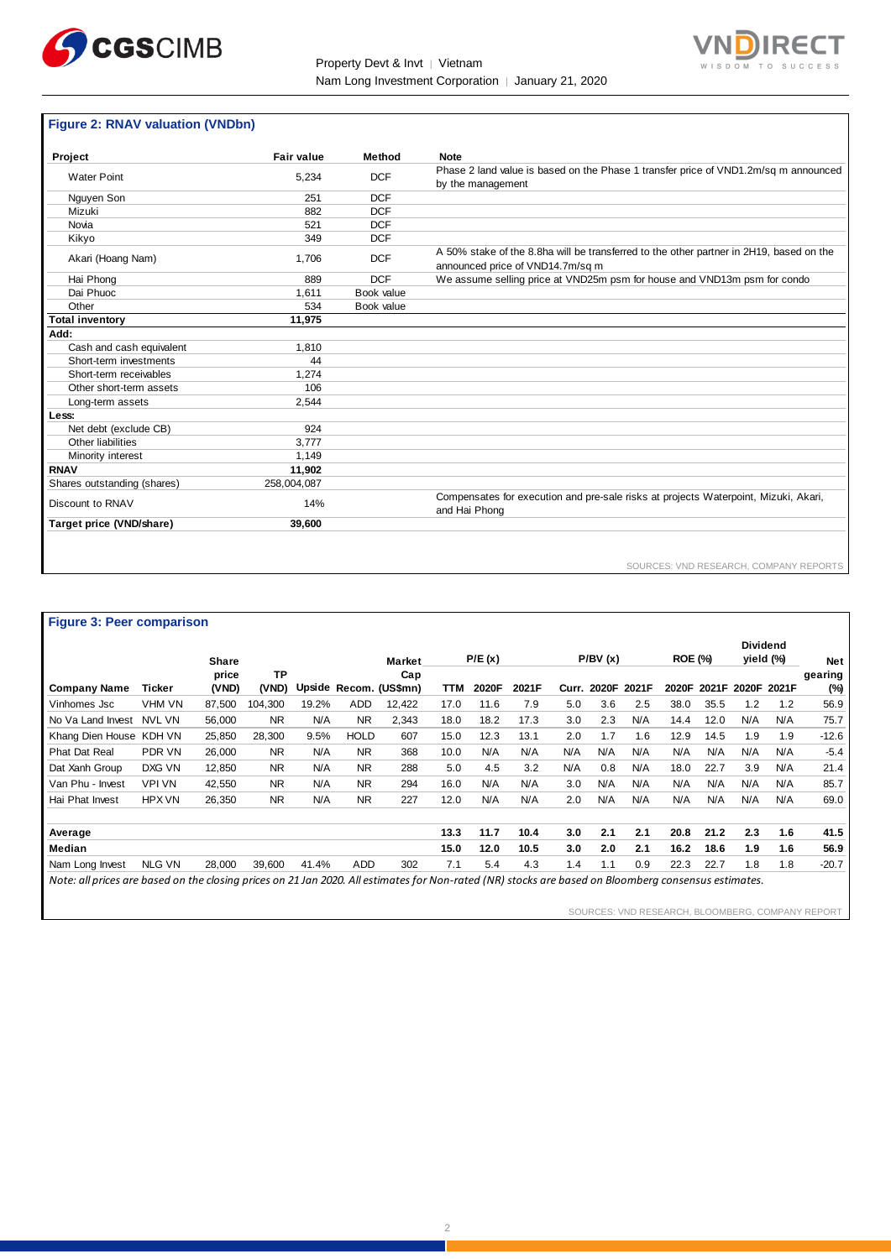



## **Figure 2: RNAV valuation (VNDbn)**

| Project                     | <b>Fair value</b> | Method     | <b>Note</b>                                                                                                                 |
|-----------------------------|-------------------|------------|-----------------------------------------------------------------------------------------------------------------------------|
| <b>Water Point</b>          | 5,234             | <b>DCF</b> | Phase 2 land value is based on the Phase 1 transfer price of VND1.2m/sq m announced<br>by the management                    |
| Nguyen Son                  | 251               | <b>DCF</b> |                                                                                                                             |
| Mizuki                      | 882               | <b>DCF</b> |                                                                                                                             |
| Novia                       | 521               | <b>DCF</b> |                                                                                                                             |
| Kikyo                       | 349               | <b>DCF</b> |                                                                                                                             |
| Akari (Hoang Nam)           | 1,706             | <b>DCF</b> | A 50% stake of the 8.8ha will be transferred to the other partner in 2H19, based on the<br>announced price of VND14.7m/sq m |
| Hai Phong                   | 889               | <b>DCF</b> | We assume selling price at VND25m psm for house and VND13m psm for condo                                                    |
| Dai Phuoc                   | 1.611             | Book value |                                                                                                                             |
| Other                       | 534               | Book value |                                                                                                                             |
| <b>Total inventory</b>      | 11.975            |            |                                                                                                                             |
| Add:                        |                   |            |                                                                                                                             |
| Cash and cash equivalent    | 1,810             |            |                                                                                                                             |
| Short-term investments      | 44                |            |                                                                                                                             |
| Short-term receivables      | 1.274             |            |                                                                                                                             |
| Other short-term assets     | 106               |            |                                                                                                                             |
| Long-term assets            | 2,544             |            |                                                                                                                             |
| Less:                       |                   |            |                                                                                                                             |
| Net debt (exclude CB)       | 924               |            |                                                                                                                             |
| Other liabilities           | 3.777             |            |                                                                                                                             |
| Minority interest           | 1,149             |            |                                                                                                                             |
| <b>RNAV</b>                 | 11,902            |            |                                                                                                                             |
| Shares outstanding (shares) | 258.004.087       |            |                                                                                                                             |
| Discount to RNAV            | 14%               |            | Compensates for execution and pre-sale risks at projects Waterpoint, Mizuki, Akari,<br>and Hai Phong                        |
| Target price (VND/share)    | 39,600            |            |                                                                                                                             |
|                             |                   |            |                                                                                                                             |

SOURCES: VND RESEARCH, COMPANY REPORTS

| <b>Figure 3: Peer comparison</b>                                                                                                                     |               |              |           |       |             |                        |      |        |       |       |         |             |                |       |                              |       |         |
|------------------------------------------------------------------------------------------------------------------------------------------------------|---------------|--------------|-----------|-------|-------------|------------------------|------|--------|-------|-------|---------|-------------|----------------|-------|------------------------------|-------|---------|
|                                                                                                                                                      |               | <b>Share</b> |           |       |             | <b>Market</b>          |      | P/E(x) |       |       | P/BV(x) |             | <b>ROE (%)</b> |       | <b>Dividend</b><br>yield (%) |       | Net     |
|                                                                                                                                                      |               | price        | <b>TP</b> |       |             | Cap                    |      |        |       |       |         |             |                |       |                              |       | gearing |
| <b>Company Name</b>                                                                                                                                  | Ticker        | (VND)        | (VND)     |       |             | Upside Recom. (US\$mn) | TTM  | 2020F  | 2021F | Curr. |         | 2020F 2021F | 2020F          | 2021F | 2020F                        | 2021F | (%)     |
| Vinhomes Jsc                                                                                                                                         | VHM VN        | 87,500       | 104,300   | 19.2% | <b>ADD</b>  | 12,422                 | 17.0 | 11.6   | 7.9   | 5.0   | 3.6     | 2.5         | 38.0           | 35.5  | 1.2                          | 1.2   | 56.9    |
| No Va Land Invest                                                                                                                                    | NVL VN        | 56,000       | <b>NR</b> | N/A   | <b>NR</b>   | 2,343                  | 18.0 | 18.2   | 17.3  | 3.0   | 2.3     | N/A         | 14.4           | 12.0  | N/A                          | N/A   | 75.7    |
| Khang Dien House                                                                                                                                     | KDH VN        | 25,850       | 28,300    | 9.5%  | <b>HOLD</b> | 607                    | 15.0 | 12.3   | 13.1  | 2.0   | 1.7     | 1.6         | 12.9           | 14.5  | 1.9                          | 1.9   | $-12.6$ |
| <b>Phat Dat Real</b>                                                                                                                                 | PDR VN        | 26,000       | <b>NR</b> | N/A   | <b>NR</b>   | 368                    | 10.0 | N/A    | N/A   | N/A   | N/A     | N/A         | N/A            | N/A   | N/A                          | N/A   | $-5.4$  |
| Dat Xanh Group                                                                                                                                       | DXG VN        | 12,850       | <b>NR</b> | N/A   | <b>NR</b>   | 288                    | 5.0  | 4.5    | 3.2   | N/A   | 0.8     | N/A         | 18.0           | 22.7  | 3.9                          | N/A   | 21.4    |
| Van Phu - Invest                                                                                                                                     | <b>VPI VN</b> | 42,550       | <b>NR</b> | N/A   | <b>NR</b>   | 294                    | 16.0 | N/A    | N/A   | 3.0   | N/A     | N/A         | N/A            | N/A   | N/A                          | N/A   | 85.7    |
| Hai Phat Invest                                                                                                                                      | <b>HPX VN</b> | 26,350       | <b>NR</b> | N/A   | <b>NR</b>   | 227                    | 12.0 | N/A    | N/A   | 2.0   | N/A     | N/A         | N/A            | N/A   | N/A                          | N/A   | 69.0    |
|                                                                                                                                                      |               |              |           |       |             |                        |      |        |       |       |         |             |                |       |                              |       |         |
| Average                                                                                                                                              |               |              |           |       |             |                        | 13.3 | 11.7   | 10.4  | 3.0   | 2.1     | 2.1         | 20.8           | 21.2  | 2.3                          | 1.6   | 41.5    |
| Median                                                                                                                                               |               |              |           |       |             |                        | 15.0 | 12.0   | 10.5  | 3.0   | 2.0     | 2.1         | 16.2           | 18.6  | 1.9                          | 1.6   | 56.9    |
| Nam Long Invest                                                                                                                                      | <b>NLG VN</b> | 28,000       | 39,600    | 41.4% | <b>ADD</b>  | 302                    | 7.1  | 5.4    | 4.3   | 1.4   | 1.1     | 0.9         | 22.3           | 22.7  | 1.8                          | 1.8   | $-20.7$ |
| Note: all prices are based on the closing prices on 21 Jan 2020. All estimates for Non-rated (NR) stocks are based on Bloomberg consensus estimates. |               |              |           |       |             |                        |      |        |       |       |         |             |                |       |                              |       |         |

SOURCES: VND RESEARCH, BLOOMBERG, COMPANY REPORT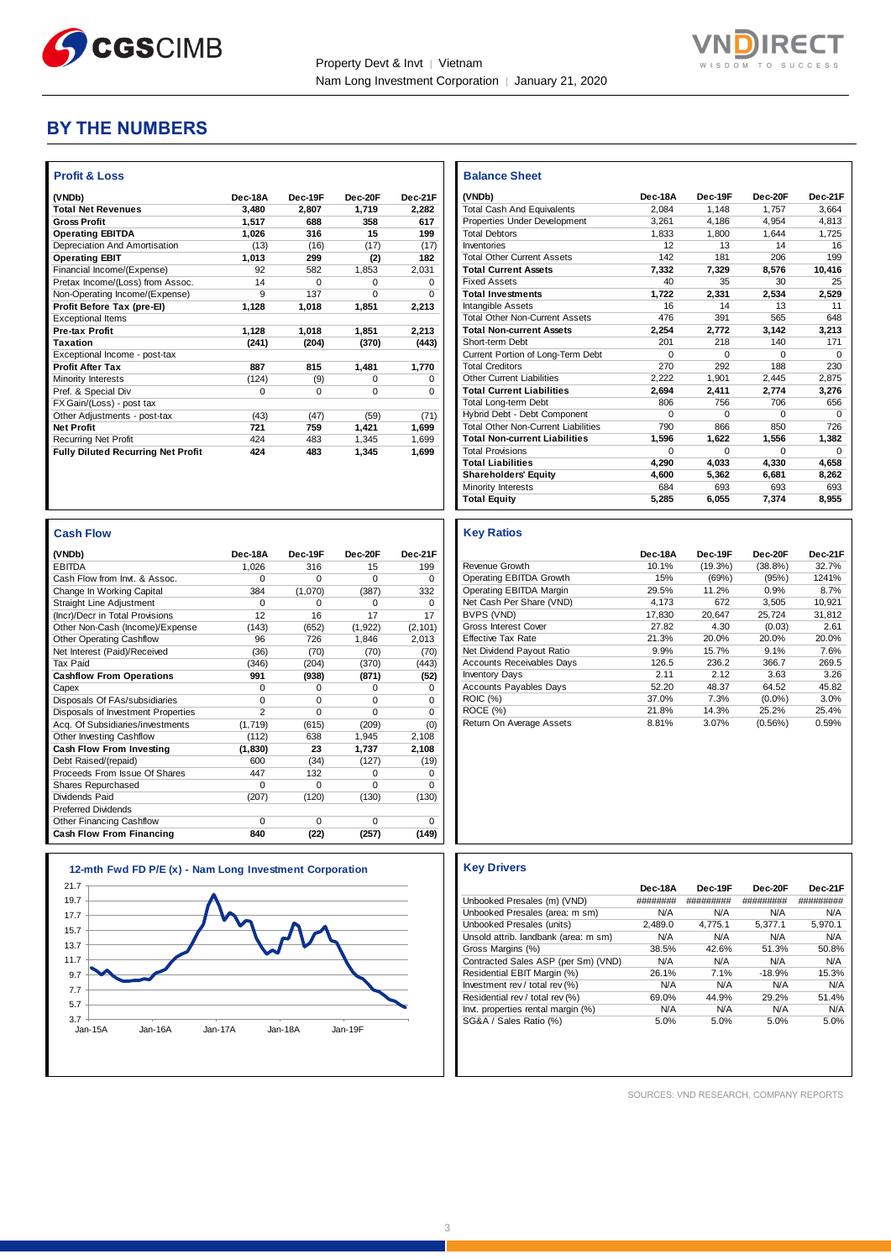



### **BY THE NUMBERS**

| <b>Profit &amp; Loss</b>                  |          |          |          |          |
|-------------------------------------------|----------|----------|----------|----------|
| (VNDb)                                    | Dec-18A  | Dec-19F  | Dec-20E  | Dec-21F  |
| <b>Total Net Revenues</b>                 | 3.480    | 2.807    | 1,719    | 2.282    |
| <b>Gross Profit</b>                       | 1,517    | 688      | 358      | 617      |
| <b>Operating EBITDA</b>                   | 1,026    | 316      | 15       | 199      |
| Depreciation And Amortisation             | (13)     | (16)     | (17)     | (17)     |
| <b>Operating EBIT</b>                     | 1,013    | 299      | (2)      | 182      |
| Financial Income/(Expense)                | 92       | 582      | 1,853    | 2.031    |
| Pretax Income/(Loss) from Assoc.          | 14       | $\Omega$ | $\Omega$ | $\Omega$ |
| Non-Operating Income/(Expense)            | 9        | 137      | $\Omega$ | $\Omega$ |
| Profit Before Tax (pre-El)                | 1,128    | 1.018    | 1.851    | 2,213    |
| <b>Exceptional Items</b>                  |          |          |          |          |
| <b>Pre-tax Profit</b>                     | 1,128    | 1,018    | 1,851    | 2,213    |
| Taxation                                  | (241)    | (204)    | (370)    | (443)    |
| Exceptional Income - post-tax             |          |          |          |          |
| <b>Profit After Tax</b>                   | 887      | 815      | 1,481    | 1,770    |
| Minority Interests                        | (124)    | (9)      | $\Omega$ | $\Omega$ |
| Pref. & Special Div                       | $\Omega$ | $\Omega$ | $\Omega$ | $\Omega$ |
| FX Gain/(Loss) - post tax                 |          |          |          |          |
| Other Adjustments - post-tax              | (43)     | (47)     | (59)     | (71)     |
| <b>Net Profit</b>                         | 721      | 759      | 1,421    | 1,699    |
| <b>Recurring Net Profit</b>               | 424      | 483      | 1.345    | 1.699    |
| <b>Fully Diluted Recurring Net Profit</b> | 424      | 483      | 1.345    | 1.699    |
|                                           |          |          |          |          |

| ash Flow |
|----------|
|          |

| ייטו ווכסט                         |                |          |          |          |
|------------------------------------|----------------|----------|----------|----------|
| (VNDb)                             | Dec-18A        | Dec-19F  | Dec-20F  | Dec-21F  |
| <b>EBITDA</b>                      | 1,026          | 316      | 15       | 199      |
| Cash Flow from Invt. & Assoc.      | 0              | $\Omega$ | $\Omega$ | $\Omega$ |
| Change In Working Capital          | 384            | (1,070)  | (387)    | 332      |
| Straight Line Adjustment           | 0              | $\Omega$ | $\Omega$ | $\Omega$ |
| (Incr)/Decr in Total Provisions    | 12             | 16       | 17       | 17       |
| Other Non-Cash (Income)/Expense    | (143)          | (652)    | (1,922)  | (2, 101) |
| <b>Other Operating Cashflow</b>    | 96             | 726      | 1,846    | 2,013    |
| Net Interest (Paid)/Received       | (36)           | (70)     | (70)     | (70)     |
| Tax Paid                           | (346)          | (204)    | (370)    | (443)    |
| <b>Cashflow From Operations</b>    | 991            | (938)    | (871)    | (52)     |
| Capex                              | 0              | $\Omega$ | $\Omega$ | $\Omega$ |
| Disposals Of FAs/subsidiaries      | 0              | $\Omega$ | $\Omega$ | $\Omega$ |
| Disposals of Investment Properties | $\overline{2}$ | $\Omega$ | $\Omega$ | $\Omega$ |
| Acq. Of Subsidiaries/investments   | (1,719)        | (615)    | (209)    | (0)      |
| Other Investing Cashflow           | (112)          | 638      | 1,945    | 2,108    |
| Cash Flow From Investing           | (1, 830)       | 23       | 1,737    | 2,108    |
| Debt Raised/(repaid)               | 600            | (34)     | (127)    | (19)     |
| Proceeds From Issue Of Shares      | 447            | 132      | $\Omega$ | $\Omega$ |
| Shares Repurchased                 | 0              | $\Omega$ | $\Omega$ | $\Omega$ |
| Dividends Paid                     | (207)          | (120)    | (130)    | (130)    |
| <b>Preferred Dividends</b>         |                |          |          |          |
| Other Financing Cashflow           | $\Omega$       | $\Omega$ | $\Omega$ | $\Omega$ |
| <b>Cash Flow From Financing</b>    | 840            | (22)     | (257)    | (149)    |



| <b>Balance Sheet</b>                       |          |              |          |              |
|--------------------------------------------|----------|--------------|----------|--------------|
| (VNDb)                                     | Dec-18A  | Dec-19F      | Dec-20F  | Dec-21F      |
| <b>Total Cash And Equivalents</b>          | 2.084    | 1.148        | 1.757    | 3.664        |
| Properties Under Development               | 3.261    | 4.186        | 4.954    | 4.813        |
| <b>Total Debtors</b>                       | 1.833    | 1.800        | 1.644    | 1.725        |
| Inventories                                | 12       | 13           | 14       | 16           |
| <b>Total Other Current Assets</b>          | 142      | 181          | 206      | 199          |
| <b>Total Current Assets</b>                | 7.332    | 7,329        | 8,576    | 10,416       |
| <b>Fixed Assets</b>                        | 40       | 35           | 30       | 25           |
| <b>Total Investments</b>                   | 1,722    | 2,331        | 2,534    | 2,529        |
| Intangible Assets                          | 16       | 14           | 13       | 11           |
| <b>Total Other Non-Current Assets</b>      | 476      | 391          | 565      | 648          |
| <b>Total Non-current Assets</b>            | 2,254    | 2.772        | 3,142    | 3,213        |
| Short-term Debt                            | 201      | 218          | 140      | 171          |
| Current Portion of Long-Term Debt          | $\Omega$ | $\Omega$     | $\Omega$ | $\Omega$     |
| <b>Total Creditors</b>                     | 270      | 292          | 188      | 230          |
| Other Current Liabilities                  | 2.222    | 1.901        | 2.445    | 2,875        |
| <b>Total Current Liabilities</b>           | 2.694    | 2.411        | 2.774    | 3.276        |
| <b>Total Long-term Debt</b>                | 806      | 756          | 706      | 656          |
| Hybrid Debt - Debt Component               | $\Omega$ | $\Omega$     | $\Omega$ | <sup>0</sup> |
| <b>Total Other Non-Current Liabilities</b> | 790      | 866          | 850      | 726          |
| <b>Total Non-current Liabilities</b>       | 1.596    | 1.622        | 1.556    | 1.382        |
| <b>Total Provisions</b>                    | $\Omega$ | <sup>0</sup> | $\Omega$ | O            |
| <b>Total Liabilities</b>                   | 4.290    | 4.033        | 4.330    | 4.658        |
| <b>Shareholders' Equity</b>                | 4.600    | 5.362        | 6.681    | 8,262        |
| Minority Interests                         | 684      | 693          | 693      | 693          |
| <b>Total Equity</b>                        | 5,285    | 6,055        | 7,374    | 8,955        |

#### **Key Ratios**

|                                  | Dec-18A | Dec-19F | Dec-20F    | Dec-21F |
|----------------------------------|---------|---------|------------|---------|
| Revenue Growth                   | 10.1%   | (19.3%) | $(38.8\%)$ | 32.7%   |
| Operating EBITDA Growth          | 15%     | (69%)   | (95%)      | 1241%   |
| Operating EBITDA Margin          | 29.5%   | 11.2%   | 0.9%       | 8.7%    |
| Net Cash Per Share (VND)         | 4.173   | 672     | 3.505      | 10.921  |
| BVPS (VND)                       | 17.830  | 20.647  | 25.724     | 31.812  |
| Gross Interest Cover             | 27.82   | 4.30    | (0.03)     | 2.61    |
| <b>Effective Tax Rate</b>        | 21.3%   | 20.0%   | 20.0%      | 20.0%   |
| Net Dividend Payout Ratio        | 9.9%    | 15.7%   | 9.1%       | 7.6%    |
| <b>Accounts Receivables Days</b> | 126.5   | 236.2   | 366.7      | 269.5   |
| <b>Inventory Days</b>            | 2.11    | 2.12    | 3.63       | 3.26    |
| <b>Accounts Payables Days</b>    | 52.20   | 48.37   | 64.52      | 45.82   |
| <b>ROIC</b> (%)                  | 37.0%   | 7.3%    | $(0.0\%)$  | $3.0\%$ |
| ROCE (%)                         | 21.8%   | 14.3%   | 25.2%      | 25.4%   |
| Return On Average Assets         | 8.81%   | 3.07%   | (0.56%)    | 0.59%   |

|                                      | Dec-18A  | Dec-19F   | Dec-20F   | Dec-21F   |
|--------------------------------------|----------|-----------|-----------|-----------|
| Unbooked Presales (m) (VND)          | ######## | ######### | ######### | ######### |
| Unbooked Presales (area: m sm)       | N/A      | N/A       | N/A       | N/A       |
| Unbooked Presales (units)            | 2.489.0  | 4.775.1   | 5.377.1   | 5.970.1   |
| Unsold attrib. landbank (area: m sm) | N/A      | N/A       | N/A       | N/A       |
| Gross Margins (%)                    | 38.5%    | 42.6%     | 51.3%     | 50.8%     |
| Contracted Sales ASP (per Sm) (VND)  | N/A      | N/A       | N/A       | N/A       |
| Residential EBIT Margin (%)          | 26.1%    | 7.1%      | $-18.9%$  | 15.3%     |
| Investment rev / total rev $(\%)$    | N/A      | N/A       | N/A       | N/A       |
| Residential rev / total rev (%)      | 69.0%    | 44.9%     | 29.2%     | 51.4%     |
| Invt. properties rental margin (%)   | N/A      | N/A       | N/A       | N/A       |
| SG&A / Sales Ratio (%)               | 5.0%     | 5.0%      | 5.0%      | 5.0%      |

SOURCES: VND RESEARCH, COMPANY REPORTS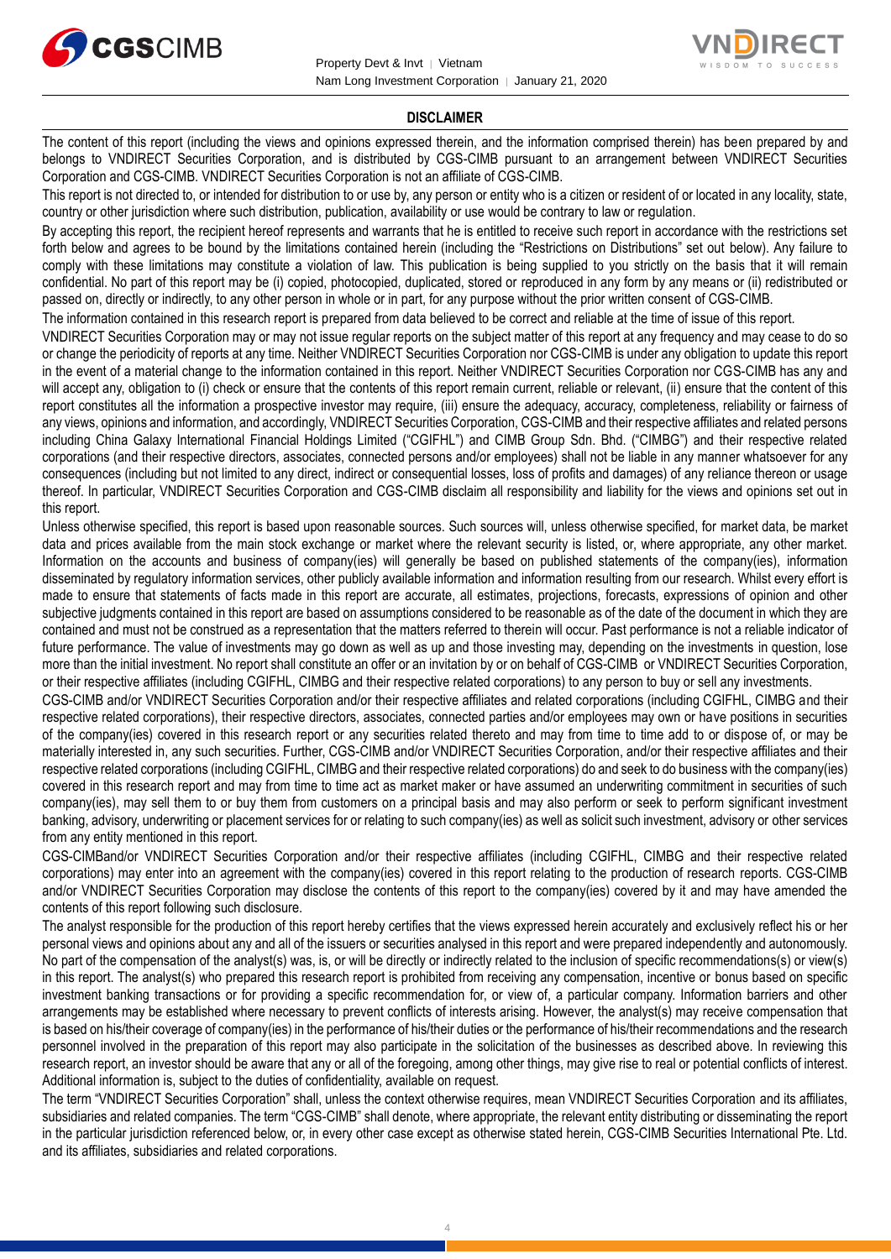



#### **DISCLAIMER**

The content of this report (including the views and opinions expressed therein, and the information comprised therein) has been prepared by and belongs to VNDIRECT Securities Corporation, and is distributed by CGS-CIMB pursuant to an arrangement between VNDIRECT Securities Corporation and CGS-CIMB. VNDIRECT Securities Corporation is not an affiliate of CGS-CIMB.

This report is not directed to, or intended for distribution to or use by, any person or entity who is a citizen or resident of or located in any locality, state, country or other jurisdiction where such distribution, publication, availability or use would be contrary to law or regulation.

By accepting this report, the recipient hereof represents and warrants that he is entitled to receive such report in accordance with the restrictions set forth below and agrees to be bound by the limitations contained herein (including the "Restrictions on Distributions" set out below). Any failure to comply with these limitations may constitute a violation of law. This publication is being supplied to you strictly on the basis that it will remain confidential. No part of this report may be (i) copied, photocopied, duplicated, stored or reproduced in any form by any means or (ii) redistributed or passed on, directly or indirectly, to any other person in whole or in part, for any purpose without the prior written consent of CGS-CIMB.

The information contained in this research report is prepared from data believed to be correct and reliable at the time of issue of this report.

VNDIRECT Securities Corporation may or may not issue regular reports on the subject matter of this report at any frequency and may cease to do so or change the periodicity of reports at any time. Neither VNDIRECT Securities Corporation nor CGS-CIMB is under any obligation to update this report in the event of a material change to the information contained in this report. Neither VNDIRECT Securities Corporation nor CGS-CIMB has any and will accept any, obligation to (i) check or ensure that the contents of this report remain current, reliable or relevant, (ii) ensure that the content of this report constitutes all the information a prospective investor may require, (iii) ensure the adequacy, accuracy, completeness, reliability or fairness of any views, opinions and information, and accordingly, VNDIRECT Securities Corporation, CGS-CIMB and their respective affiliates and related persons including China Galaxy International Financial Holdings Limited ("CGIFHL") and CIMB Group Sdn. Bhd. ("CIMBG") and their respective related corporations (and their respective directors, associates, connected persons and/or employees) shall not be liable in any manner whatsoever for any consequences (including but not limited to any direct, indirect or consequential losses, loss of profits and damages) of any reliance thereon or usage thereof. In particular, VNDIRECT Securities Corporation and CGS-CIMB disclaim all responsibility and liability for the views and opinions set out in this report.

Unless otherwise specified, this report is based upon reasonable sources. Such sources will, unless otherwise specified, for market data, be market data and prices available from the main stock exchange or market where the relevant security is listed, or, where appropriate, any other market. Information on the accounts and business of company(ies) will generally be based on published statements of the company(ies), information disseminated by regulatory information services, other publicly available information and information resulting from our research. Whilst every effort is made to ensure that statements of facts made in this report are accurate, all estimates, projections, forecasts, expressions of opinion and other subjective judgments contained in this report are based on assumptions considered to be reasonable as of the date of the document in which they are contained and must not be construed as a representation that the matters referred to therein will occur. Past performance is not a reliable indicator of future performance. The value of investments may go down as well as up and those investing may, depending on the investments in question, lose more than the initial investment. No report shall constitute an offer or an invitation by or on behalf of CGS-CIMB or VNDIRECT Securities Corporation, or their respective affiliates (including CGIFHL, CIMBG and their respective related corporations) to any person to buy or sell any investments.

CGS-CIMB and/or VNDIRECT Securities Corporation and/or their respective affiliates and related corporations (including CGIFHL, CIMBG and their respective related corporations), their respective directors, associates, connected parties and/or employees may own or have positions in securities of the company(ies) covered in this research report or any securities related thereto and may from time to time add to or dispose of, or may be materially interested in, any such securities. Further, CGS-CIMB and/or VNDIRECT Securities Corporation, and/or their respective affiliates and their respective related corporations (including CGIFHL, CIMBG and their respective related corporations) do and seek to do business with the company(ies) covered in this research report and may from time to time act as market maker or have assumed an underwriting commitment in securities of such company(ies), may sell them to or buy them from customers on a principal basis and may also perform or seek to perform significant investment banking, advisory, underwriting or placement services for or relating to such company(ies) as well as solicit such investment, advisory or other services from any entity mentioned in this report.

CGS-CIMBand/or VNDIRECT Securities Corporation and/or their respective affiliates (including CGIFHL, CIMBG and their respective related corporations) may enter into an agreement with the company(ies) covered in this report relating to the production of research reports. CGS-CIMB and/or VNDIRECT Securities Corporation may disclose the contents of this report to the company(ies) covered by it and may have amended the contents of this report following such disclosure.

The analyst responsible for the production of this report hereby certifies that the views expressed herein accurately and exclusively reflect his or her personal views and opinions about any and all of the issuers or securities analysed in this report and were prepared independently and autonomously. No part of the compensation of the analyst(s) was, is, or will be directly or indirectly related to the inclusion of specific recommendations(s) or view(s) in this report. The analyst(s) who prepared this research report is prohibited from receiving any compensation, incentive or bonus based on specific investment banking transactions or for providing a specific recommendation for, or view of, a particular company. Information barriers and other arrangements may be established where necessary to prevent conflicts of interests arising. However, the analyst(s) may receive compensation that is based on his/their coverage of company(ies) in the performance of his/their duties or the performance of his/their recommendations and the research personnel involved in the preparation of this report may also participate in the solicitation of the businesses as described above. In reviewing this research report, an investor should be aware that any or all of the foregoing, among other things, may give rise to real or potential conflicts of interest. Additional information is, subject to the duties of confidentiality, available on request.

The term "VNDIRECT Securities Corporation" shall, unless the context otherwise requires, mean VNDIRECT Securities Corporation and its affiliates, subsidiaries and related companies. The term "CGS-CIMB" shall denote, where appropriate, the relevant entity distributing or disseminating the report in the particular jurisdiction referenced below, or, in every other case except as otherwise stated herein, CGS-CIMB Securities International Pte. Ltd. and its affiliates, subsidiaries and related corporations.

4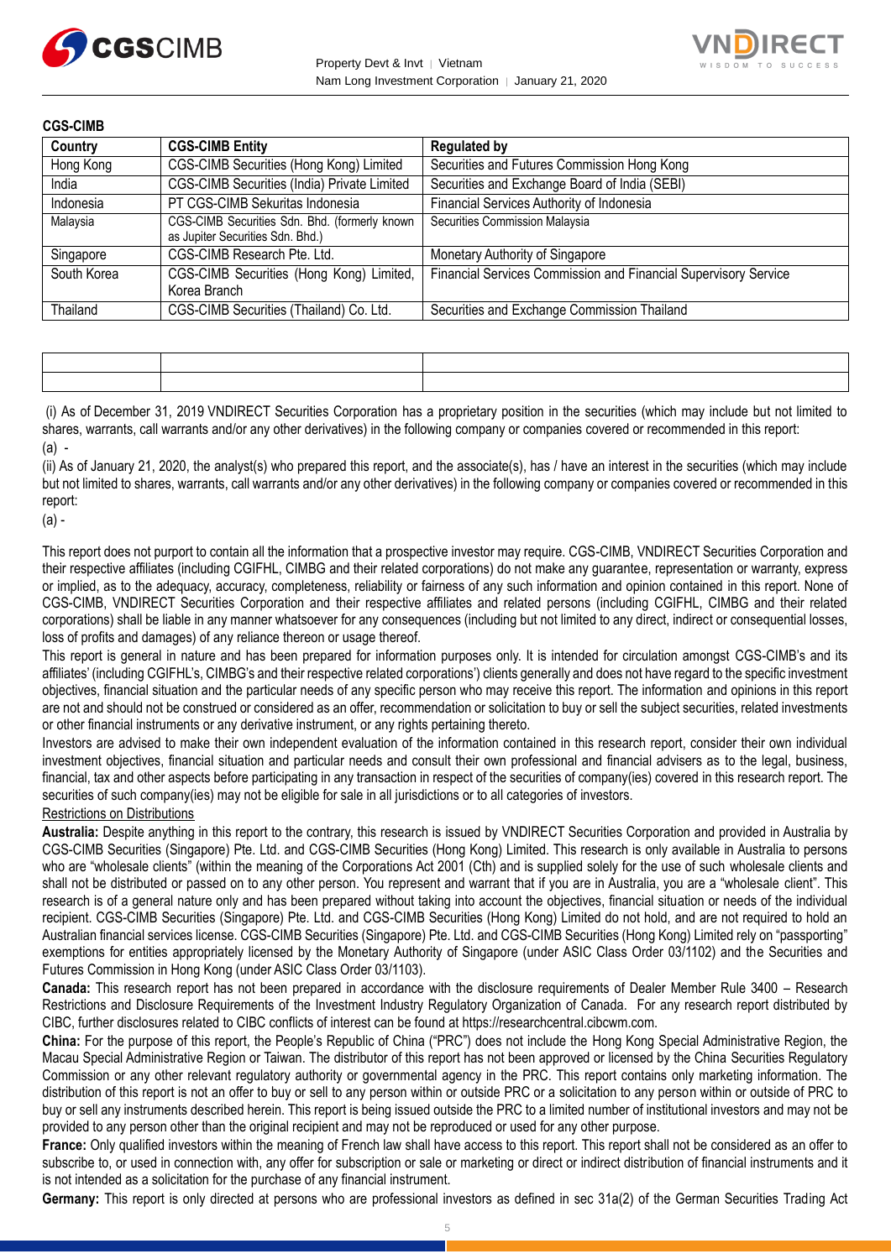



| <b>CGS-CIMB</b> |                                                                                   |                                                                 |
|-----------------|-----------------------------------------------------------------------------------|-----------------------------------------------------------------|
| Country         | <b>CGS-CIMB Entity</b>                                                            | <b>Regulated by</b>                                             |
| Hong Kong       | CGS-CIMB Securities (Hong Kong) Limited                                           | Securities and Futures Commission Hong Kong                     |
| India           | CGS-CIMB Securities (India) Private Limited                                       | Securities and Exchange Board of India (SEBI)                   |
| Indonesia       | PT CGS-CIMB Sekuritas Indonesia                                                   | Financial Services Authority of Indonesia                       |
| Malaysia        | CGS-CIMB Securities Sdn. Bhd. (formerly known<br>as Jupiter Securities Sdn. Bhd.) | Securities Commission Malaysia                                  |
| Singapore       | CGS-CIMB Research Pte. Ltd.                                                       | Monetary Authority of Singapore                                 |
| South Korea     | CGS-CIMB Securities (Hong Kong) Limited,<br>Korea Branch                          | Financial Services Commission and Financial Supervisory Service |
| Thailand        | CGS-CIMB Securities (Thailand) Co. Ltd.                                           | Securities and Exchange Commission Thailand                     |

| the contract of the contract of the contract of the contract of the contract of the contract of the contract of |  |
|-----------------------------------------------------------------------------------------------------------------|--|

(i) As of December 31, 2019 VNDIRECT Securities Corporation has a proprietary position in the securities (which may include but not limited to shares, warrants, call warrants and/or any other derivatives) in the following company or companies covered or recommended in this report: (a) -

(ii) As of January 21, 2020, the analyst(s) who prepared this report, and the associate(s), has / have an interest in the securities (which may include but not limited to shares, warrants, call warrants and/or any other derivatives) in the following company or companies covered or recommended in this report:

(a) -

This report does not purport to contain all the information that a prospective investor may require. CGS-CIMB, VNDIRECT Securities Corporation and their respective affiliates (including CGIFHL, CIMBG and their related corporations) do not make any guarantee, representation or warranty, express or implied, as to the adequacy, accuracy, completeness, reliability or fairness of any such information and opinion contained in this report. None of CGS-CIMB, VNDIRECT Securities Corporation and their respective affiliates and related persons (including CGIFHL, CIMBG and their related corporations) shall be liable in any manner whatsoever for any consequences (including but not limited to any direct, indirect or consequential losses, loss of profits and damages) of any reliance thereon or usage thereof.

This report is general in nature and has been prepared for information purposes only. It is intended for circulation amongst CGS-CIMB's and its affiliates' (including CGIFHL's, CIMBG's and their respective related corporations') clients generally and does not have regard to the specific investment objectives, financial situation and the particular needs of any specific person who may receive this report. The information and opinions in this report are not and should not be construed or considered as an offer, recommendation or solicitation to buy or sell the subject securities, related investments or other financial instruments or any derivative instrument, or any rights pertaining thereto.

Investors are advised to make their own independent evaluation of the information contained in this research report, consider their own individual investment objectives, financial situation and particular needs and consult their own professional and financial advisers as to the legal, business, financial, tax and other aspects before participating in any transaction in respect of the securities of company(ies) covered in this research report. The securities of such company(ies) may not be eligible for sale in all jurisdictions or to all categories of investors.

Restrictions on Distributions

**Australia:** Despite anything in this report to the contrary, this research is issued by VNDIRECT Securities Corporation and provided in Australia by CGS-CIMB Securities (Singapore) Pte. Ltd. and CGS-CIMB Securities (Hong Kong) Limited. This research is only available in Australia to persons who are "wholesale clients" (within the meaning of the Corporations Act 2001 (Cth) and is supplied solely for the use of such wholesale clients and shall not be distributed or passed on to any other person. You represent and warrant that if you are in Australia, you are a "wholesale client". This research is of a general nature only and has been prepared without taking into account the objectives, financial situation or needs of the individual recipient. CGS-CIMB Securities (Singapore) Pte. Ltd. and CGS-CIMB Securities (Hong Kong) Limited do not hold, and are not required to hold an Australian financial services license. CGS-CIMB Securities (Singapore) Pte. Ltd. and CGS-CIMB Securities (Hong Kong) Limited rely on "passporting" exemptions for entities appropriately licensed by the Monetary Authority of Singapore (under ASIC Class Order 03/1102) and the Securities and Futures Commission in Hong Kong (under ASIC Class Order 03/1103).

**Canada:** This research report has not been prepared in accordance with the disclosure requirements of Dealer Member Rule 3400 – Research Restrictions and Disclosure Requirements of the Investment Industry Regulatory Organization of Canada. For any research report distributed by CIBC, further disclosures related to CIBC conflicts of interest can be found at https://researchcentral.cibcwm.com.

**China:** For the purpose of this report, the People's Republic of China ("PRC") does not include the Hong Kong Special Administrative Region, the Macau Special Administrative Region or Taiwan. The distributor of this report has not been approved or licensed by the China Securities Regulatory Commission or any other relevant regulatory authority or governmental agency in the PRC. This report contains only marketing information. The distribution of this report is not an offer to buy or sell to any person within or outside PRC or a solicitation to any person within or outside of PRC to buy or sell any instruments described herein. This report is being issued outside the PRC to a limited number of institutional investors and may not be provided to any person other than the original recipient and may not be reproduced or used for any other purpose.

**France:** Only qualified investors within the meaning of French law shall have access to this report. This report shall not be considered as an offer to subscribe to, or used in connection with, any offer for subscription or sale or marketing or direct or indirect distribution of financial instruments and it is not intended as a solicitation for the purchase of any financial instrument.

**Germany:** This report is only directed at persons who are professional investors as defined in sec 31a(2) of the German Securities Trading Act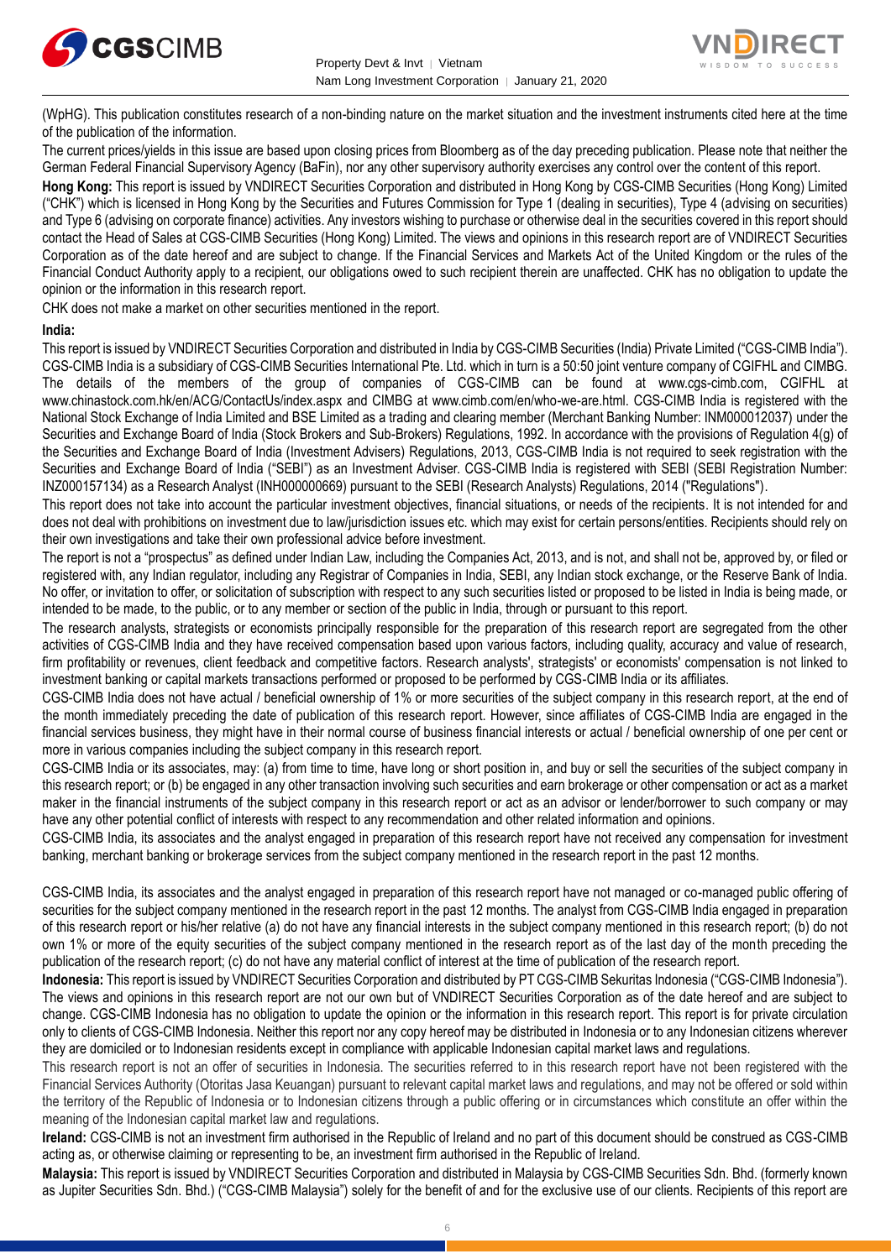



(WpHG). This publication constitutes research of a non-binding nature on the market situation and the investment instruments cited here at the time of the publication of the information.

The current prices/yields in this issue are based upon closing prices from Bloomberg as of the day preceding publication. Please note that neither the German Federal Financial Supervisory Agency (BaFin), nor any other supervisory authority exercises any control over the content of this report.

**Hong Kong:** This report is issued by VNDIRECT Securities Corporation and distributed in Hong Kong by CGS-CIMB Securities (Hong Kong) Limited ("CHK") which is licensed in Hong Kong by the Securities and Futures Commission for Type 1 (dealing in securities), Type 4 (advising on securities) and Type 6 (advising on corporate finance) activities. Any investors wishing to purchase or otherwise deal in the securities covered in this report should contact the Head of Sales at CGS-CIMB Securities (Hong Kong) Limited. The views and opinions in this research report are of VNDIRECT Securities Corporation as of the date hereof and are subject to change. If the Financial Services and Markets Act of the United Kingdom or the rules of the Financial Conduct Authority apply to a recipient, our obligations owed to such recipient therein are unaffected. CHK has no obligation to update the opinion or the information in this research report.

CHK does not make a market on other securities mentioned in the report.

#### **India:**

This report is issued by VNDIRECT Securities Corporation and distributed in India by CGS-CIMB Securities (India) Private Limited ("CGS-CIMB India"). CGS-CIMB India is a subsidiary of CGS-CIMB Securities International Pte. Ltd. which in turn is a 50:50 joint venture company of CGIFHL and CIMBG. The details of the members of the group of companies of CGS-CIMB can be found at www.cgs-cimb.com, CGIFHL at www.chinastock.com.hk/en/ACG/ContactUs/index.aspx and CIMBG at www.cimb.com/en/who-we-are.html. CGS-CIMB India is registered with the National Stock Exchange of India Limited and BSE Limited as a trading and clearing member (Merchant Banking Number: INM000012037) under the Securities and Exchange Board of India (Stock Brokers and Sub-Brokers) Regulations, 1992. In accordance with the provisions of Regulation 4(g) of the Securities and Exchange Board of India (Investment Advisers) Regulations, 2013, CGS-CIMB India is not required to seek registration with the Securities and Exchange Board of India ("SEBI") as an Investment Adviser. CGS-CIMB India is registered with SEBI (SEBI Registration Number: INZ000157134) as a Research Analyst (INH000000669) pursuant to the SEBI (Research Analysts) Regulations, 2014 ("Regulations").

This report does not take into account the particular investment objectives, financial situations, or needs of the recipients. It is not intended for and does not deal with prohibitions on investment due to law/jurisdiction issues etc. which may exist for certain persons/entities. Recipients should rely on their own investigations and take their own professional advice before investment.

The report is not a "prospectus" as defined under Indian Law, including the Companies Act, 2013, and is not, and shall not be, approved by, or filed or registered with, any Indian regulator, including any Registrar of Companies in India, SEBI, any Indian stock exchange, or the Reserve Bank of India. No offer, or invitation to offer, or solicitation of subscription with respect to any such securities listed or proposed to be listed in India is being made, or intended to be made, to the public, or to any member or section of the public in India, through or pursuant to this report.

The research analysts, strategists or economists principally responsible for the preparation of this research report are segregated from the other activities of CGS-CIMB India and they have received compensation based upon various factors, including quality, accuracy and value of research, firm profitability or revenues, client feedback and competitive factors. Research analysts', strategists' or economists' compensation is not linked to investment banking or capital markets transactions performed or proposed to be performed by CGS-CIMB India or its affiliates.

CGS-CIMB India does not have actual / beneficial ownership of 1% or more securities of the subject company in this research report, at the end of the month immediately preceding the date of publication of this research report. However, since affiliates of CGS-CIMB India are engaged in the financial services business, they might have in their normal course of business financial interests or actual / beneficial ownership of one per cent or more in various companies including the subject company in this research report.

CGS-CIMB India or its associates, may: (a) from time to time, have long or short position in, and buy or sell the securities of the subject company in this research report; or (b) be engaged in any other transaction involving such securities and earn brokerage or other compensation or act as a market maker in the financial instruments of the subject company in this research report or act as an advisor or lender/borrower to such company or may have any other potential conflict of interests with respect to any recommendation and other related information and opinions.

CGS-CIMB India, its associates and the analyst engaged in preparation of this research report have not received any compensation for investment banking, merchant banking or brokerage services from the subject company mentioned in the research report in the past 12 months.

CGS-CIMB India, its associates and the analyst engaged in preparation of this research report have not managed or co-managed public offering of securities for the subject company mentioned in the research report in the past 12 months. The analyst from CGS-CIMB India engaged in preparation of this research report or his/her relative (a) do not have any financial interests in the subject company mentioned in this research report; (b) do not own 1% or more of the equity securities of the subject company mentioned in the research report as of the last day of the month preceding the publication of the research report; (c) do not have any material conflict of interest at the time of publication of the research report.

**Indonesia:** This report is issued by VNDIRECT Securities Corporation and distributed by PT CGS-CIMB Sekuritas Indonesia ("CGS-CIMB Indonesia"). The views and opinions in this research report are not our own but of VNDIRECT Securities Corporation as of the date hereof and are subject to change. CGS-CIMB Indonesia has no obligation to update the opinion or the information in this research report. This report is for private circulation only to clients of CGS-CIMB Indonesia. Neither this report nor any copy hereof may be distributed in Indonesia or to any Indonesian citizens wherever they are domiciled or to Indonesian residents except in compliance with applicable Indonesian capital market laws and regulations.

This research report is not an offer of securities in Indonesia. The securities referred to in this research report have not been registered with the Financial Services Authority (Otoritas Jasa Keuangan) pursuant to relevant capital market laws and regulations, and may not be offered or sold within the territory of the Republic of Indonesia or to Indonesian citizens through a public offering or in circumstances which constitute an offer within the meaning of the Indonesian capital market law and regulations.

**Ireland:** CGS-CIMB is not an investment firm authorised in the Republic of Ireland and no part of this document should be construed as CGS-CIMB acting as, or otherwise claiming or representing to be, an investment firm authorised in the Republic of Ireland.

**Malaysia:** This report is issued by VNDIRECT Securities Corporation and distributed in Malaysia by CGS-CIMB Securities Sdn. Bhd. (formerly known as Jupiter Securities Sdn. Bhd.) ("CGS-CIMB Malaysia") solely for the benefit of and for the exclusive use of our clients. Recipients of this report are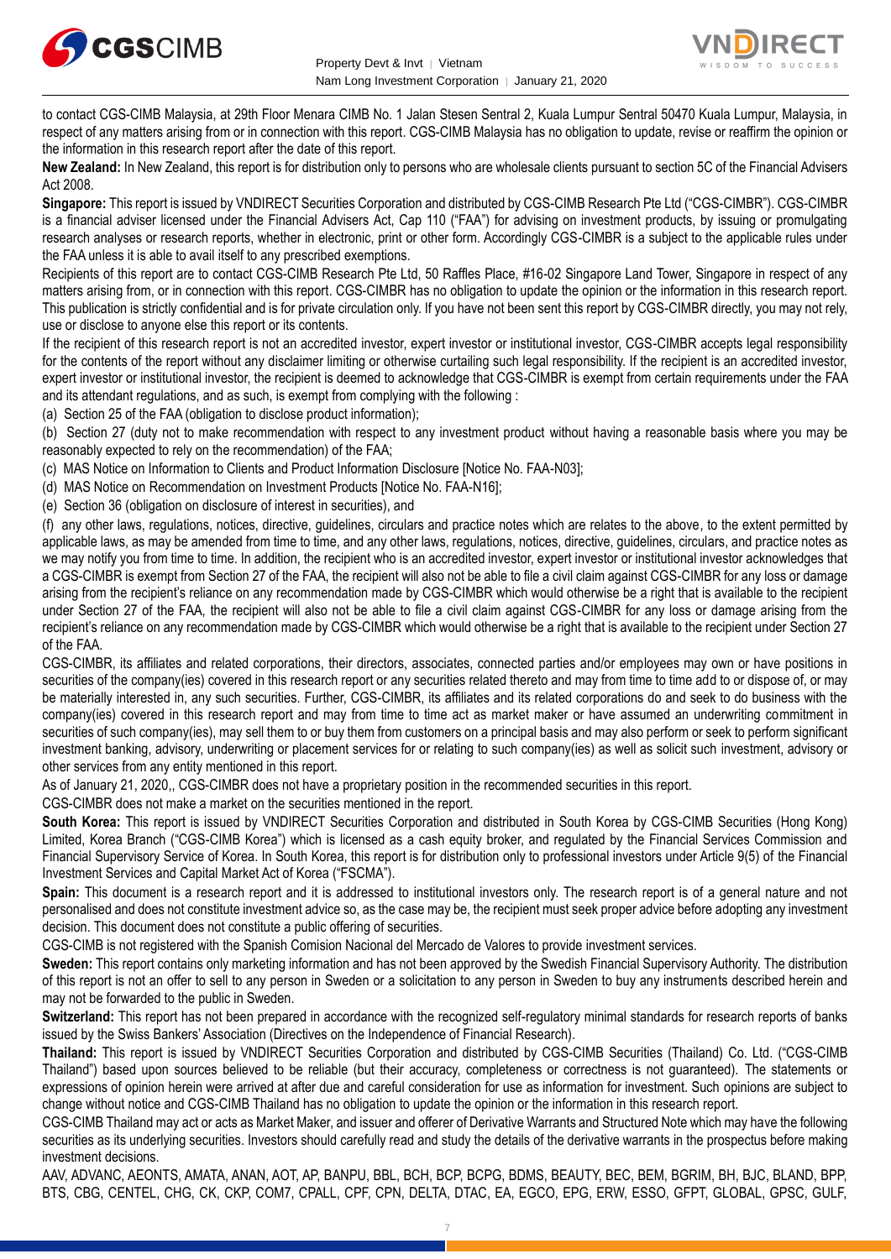



to contact CGS-CIMB Malaysia, at 29th Floor Menara CIMB No. 1 Jalan Stesen Sentral 2, Kuala Lumpur Sentral 50470 Kuala Lumpur, Malaysia, in respect of any matters arising from or in connection with this report. CGS-CIMB Malaysia has no obligation to update, revise or reaffirm the opinion or the information in this research report after the date of this report.

**New Zealand:** In New Zealand, this report is for distribution only to persons who are wholesale clients pursuant to section 5C of the Financial Advisers Act 2008.

**Singapore:** This report is issued by VNDIRECT Securities Corporation and distributed by CGS-CIMB Research Pte Ltd ("CGS-CIMBR"). CGS-CIMBR is a financial adviser licensed under the Financial Advisers Act, Cap 110 ("FAA") for advising on investment products, by issuing or promulgating research analyses or research reports, whether in electronic, print or other form. Accordingly CGS-CIMBR is a subject to the applicable rules under the FAA unless it is able to avail itself to any prescribed exemptions.

Recipients of this report are to contact CGS-CIMB Research Pte Ltd, 50 Raffles Place, #16-02 Singapore Land Tower, Singapore in respect of any matters arising from, or in connection with this report. CGS-CIMBR has no obligation to update the opinion or the information in this research report. This publication is strictly confidential and is for private circulation only. If you have not been sent this report by CGS-CIMBR directly, you may not rely, use or disclose to anyone else this report or its contents.

If the recipient of this research report is not an accredited investor, expert investor or institutional investor, CGS-CIMBR accepts legal responsibility for the contents of the report without any disclaimer limiting or otherwise curtailing such legal responsibility. If the recipient is an accredited investor, expert investor or institutional investor, the recipient is deemed to acknowledge that CGS-CIMBR is exempt from certain requirements under the FAA and its attendant regulations, and as such, is exempt from complying with the following :

(a) Section 25 of the FAA (obligation to disclose product information);

(b) Section 27 (duty not to make recommendation with respect to any investment product without having a reasonable basis where you may be reasonably expected to rely on the recommendation) of the FAA;

(c) MAS Notice on Information to Clients and Product Information Disclosure [Notice No. FAA-N03];

(d) MAS Notice on Recommendation on Investment Products [Notice No. FAA-N16];

(e) Section 36 (obligation on disclosure of interest in securities), and

(f) any other laws, regulations, notices, directive, guidelines, circulars and practice notes which are relates to the above, to the extent permitted by applicable laws, as may be amended from time to time, and any other laws, regulations, notices, directive, guidelines, circulars, and practice notes as we may notify you from time to time. In addition, the recipient who is an accredited investor, expert investor or institutional investor acknowledges that a CGS-CIMBR is exempt from Section 27 of the FAA, the recipient will also not be able to file a civil claim against CGS-CIMBR for any loss or damage arising from the recipient's reliance on any recommendation made by CGS-CIMBR which would otherwise be a right that is available to the recipient under Section 27 of the FAA, the recipient will also not be able to file a civil claim against CGS-CIMBR for any loss or damage arising from the recipient's reliance on any recommendation made by CGS-CIMBR which would otherwise be a right that is available to the recipient under Section 27 of the FAA.

CGS-CIMBR, its affiliates and related corporations, their directors, associates, connected parties and/or employees may own or have positions in securities of the company(ies) covered in this research report or any securities related thereto and may from time to time add to or dispose of, or may be materially interested in, any such securities. Further, CGS-CIMBR, its affiliates and its related corporations do and seek to do business with the company(ies) covered in this research report and may from time to time act as market maker or have assumed an underwriting commitment in securities of such company(ies), may sell them to or buy them from customers on a principal basis and may also perform or seek to perform significant investment banking, advisory, underwriting or placement services for or relating to such company(ies) as well as solicit such investment, advisory or other services from any entity mentioned in this report.

As of January 21, 2020,, CGS-CIMBR does not have a proprietary position in the recommended securities in this report.

CGS-CIMBR does not make a market on the securities mentioned in the report.

**South Korea:** This report is issued by VNDIRECT Securities Corporation and distributed in South Korea by CGS-CIMB Securities (Hong Kong) Limited, Korea Branch ("CGS-CIMB Korea") which is licensed as a cash equity broker, and regulated by the Financial Services Commission and Financial Supervisory Service of Korea. In South Korea, this report is for distribution only to professional investors under Article 9(5) of the Financial Investment Services and Capital Market Act of Korea ("FSCMA").

**Spain:** This document is a research report and it is addressed to institutional investors only. The research report is of a general nature and not personalised and does not constitute investment advice so, as the case may be, the recipient must seek proper advice before adopting any investment decision. This document does not constitute a public offering of securities.

CGS-CIMB is not registered with the Spanish Comision Nacional del Mercado de Valores to provide investment services.

**Sweden:** This report contains only marketing information and has not been approved by the Swedish Financial Supervisory Authority. The distribution of this report is not an offer to sell to any person in Sweden or a solicitation to any person in Sweden to buy any instruments described herein and may not be forwarded to the public in Sweden.

**Switzerland:** This report has not been prepared in accordance with the recognized self-regulatory minimal standards for research reports of banks issued by the Swiss Bankers' Association (Directives on the Independence of Financial Research).

**Thailand:** This report is issued by VNDIRECT Securities Corporation and distributed by CGS-CIMB Securities (Thailand) Co. Ltd. ("CGS-CIMB Thailand") based upon sources believed to be reliable (but their accuracy, completeness or correctness is not guaranteed). The statements or expressions of opinion herein were arrived at after due and careful consideration for use as information for investment. Such opinions are subject to change without notice and CGS-CIMB Thailand has no obligation to update the opinion or the information in this research report.

CGS-CIMB Thailand may act or acts as Market Maker, and issuer and offerer of Derivative Warrants and Structured Note which may have the following securities as its underlying securities. Investors should carefully read and study the details of the derivative warrants in the prospectus before making investment decisions.

AAV, ADVANC, AEONTS, AMATA, ANAN, AOT, AP, BANPU, BBL, BCH, BCP, BCPG, BDMS, BEAUTY, BEC, BEM, BGRIM, BH, BJC, BLAND, BPP, BTS, CBG, CENTEL, CHG, CK, CKP, COM7, CPALL, CPF, CPN, DELTA, DTAC, EA, EGCO, EPG, ERW, ESSO, GFPT, GLOBAL, GPSC, GULF,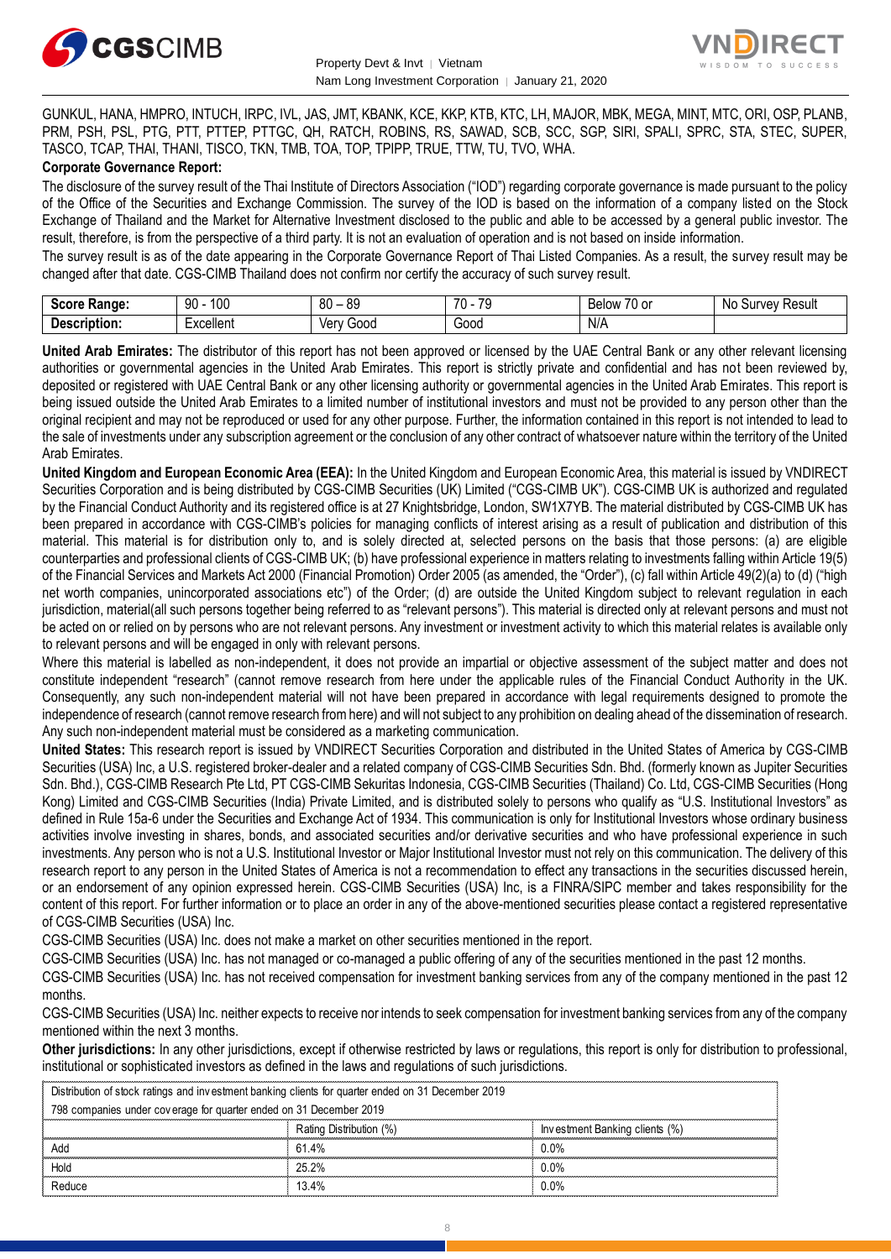



GUNKUL, HANA, HMPRO, INTUCH, IRPC, IVL, JAS, JMT, KBANK, KCE, KKP, KTB, KTC, LH, MAJOR, MBK, MEGA, MINT, MTC, ORI, OSP, PLANB, PRM, PSH, PSL, PTG, PTT, PTTEP, PTTGC, QH, RATCH, ROBINS, RS, SAWAD, SCB, SCC, SGP, SIRI, SPALI, SPRC, STA, STEC, SUPER, TASCO, TCAP, THAI, THANI, TISCO, TKN, TMB, TOA, TOP, TPIPP, TRUE, TTW, TU, TVO, WHA.

#### **Corporate Governance Report:**

The disclosure of the survey result of the Thai Institute of Directors Association ("IOD") regarding corporate governance is made pursuant to the policy of the Office of the Securities and Exchange Commission. The survey of the IOD is based on the information of a company listed on the Stock Exchange of Thailand and the Market for Alternative Investment disclosed to the public and able to be accessed by a general public investor. The result, therefore, is from the perspective of a third party. It is not an evaluation of operation and is not based on inside information.

The survey result is as of the date appearing in the Corporate Governance Report of Thai Listed Companies. As a result, the survey result may be changed after that date. CGS-CIMB Thailand does not confirm nor certify the accuracy of such survey result.

| Soore.<br>Range:<br>экик     | l 00<br>90                   | -RN<br>n c<br>υυ<br>vü | $\overline{\phantom{a}}$<br>70<br>u | $\sim$ $\sim$<br>Relow<br>u or | No<br><b>Result</b><br>survey. |
|------------------------------|------------------------------|------------------------|-------------------------------------|--------------------------------|--------------------------------|
| ------<br>- - --<br>ription: | voollor<br><u>xuellei Il</u> | Verv<br>300C           | -<br>000ن<br>.                      | N/A                            |                                |

**United Arab Emirates:** The distributor of this report has not been approved or licensed by the UAE Central Bank or any other relevant licensing authorities or governmental agencies in the United Arab Emirates. This report is strictly private and confidential and has not been reviewed by, deposited or registered with UAE Central Bank or any other licensing authority or governmental agencies in the United Arab Emirates. This report is being issued outside the United Arab Emirates to a limited number of institutional investors and must not be provided to any person other than the original recipient and may not be reproduced or used for any other purpose. Further, the information contained in this report is not intended to lead to the sale of investments under any subscription agreement or the conclusion of any other contract of whatsoever nature within the territory of the United Arab Emirates.

**United Kingdom and European Economic Area (EEA):** In the United Kingdom and European Economic Area, this material is issued by VNDIRECT Securities Corporation and is being distributed by CGS-CIMB Securities (UK) Limited ("CGS-CIMB UK"). CGS-CIMB UK is authorized and regulated by the Financial Conduct Authority and its registered office is at 27 Knightsbridge, London, SW1X7YB. The material distributed by CGS-CIMB UK has been prepared in accordance with CGS-CIMB's policies for managing conflicts of interest arising as a result of publication and distribution of this material. This material is for distribution only to, and is solely directed at, selected persons on the basis that those persons: (a) are eligible counterparties and professional clients of CGS-CIMB UK; (b) have professional experience in matters relating to investments falling within Article 19(5) of the Financial Services and Markets Act 2000 (Financial Promotion) Order 2005 (as amended, the "Order"), (c) fall within Article 49(2)(a) to (d) ("high net worth companies, unincorporated associations etc") of the Order; (d) are outside the United Kingdom subject to relevant regulation in each jurisdiction, material(all such persons together being referred to as "relevant persons"). This material is directed only at relevant persons and must not be acted on or relied on by persons who are not relevant persons. Any investment or investment activity to which this material relates is available only to relevant persons and will be engaged in only with relevant persons.

Where this material is labelled as non-independent, it does not provide an impartial or objective assessment of the subject matter and does not constitute independent "research" (cannot remove research from here under the applicable rules of the Financial Conduct Authority in the UK. Consequently, any such non-independent material will not have been prepared in accordance with legal requirements designed to promote the independence of research (cannot remove research from here) and will not subject to any prohibition on dealing ahead of the dissemination of research. Any such non-independent material must be considered as a marketing communication.

**United States:** This research report is issued by VNDIRECT Securities Corporation and distributed in the United States of America by CGS-CIMB Securities (USA) Inc, a U.S. registered broker-dealer and a related company of CGS-CIMB Securities Sdn. Bhd. (formerly known as Jupiter Securities Sdn. Bhd.), CGS-CIMB Research Pte Ltd, PT CGS-CIMB Sekuritas Indonesia, CGS-CIMB Securities (Thailand) Co. Ltd, CGS-CIMB Securities (Hong Kong) Limited and CGS-CIMB Securities (India) Private Limited, and is distributed solely to persons who qualify as "U.S. Institutional Investors" as defined in Rule 15a-6 under the Securities and Exchange Act of 1934. This communication is only for Institutional Investors whose ordinary business activities involve investing in shares, bonds, and associated securities and/or derivative securities and who have professional experience in such investments. Any person who is not a U.S. Institutional Investor or Major Institutional Investor must not rely on this communication. The delivery of this research report to any person in the United States of America is not a recommendation to effect any transactions in the securities discussed herein, or an endorsement of any opinion expressed herein. CGS-CIMB Securities (USA) Inc, is a FINRA/SIPC member and takes responsibility for the content of this report. For further information or to place an order in any of the above-mentioned securities please contact a registered representative of CGS-CIMB Securities (USA) Inc.

CGS-CIMB Securities (USA) Inc. does not make a market on other securities mentioned in the report.

CGS-CIMB Securities (USA) Inc. has not managed or co-managed a public offering of any of the securities mentioned in the past 12 months.

CGS-CIMB Securities (USA) Inc. has not received compensation for investment banking services from any of the company mentioned in the past 12 months.

CGS-CIMB Securities (USA) Inc. neither expects to receive nor intends to seek compensation for investment banking services from any of the company mentioned within the next 3 months.

**Other jurisdictions:** In any other jurisdictions, except if otherwise restricted by laws or regulations, this report is only for distribution to professional, institutional or sophisticated investors as defined in the laws and regulations of such jurisdictions. entioned within the next 3 months.<br> **ther jurisdictions:** In any other jurisdictions, except if otherwise restricted by laws<br>
stitutional or sophisticated investors as defined in the laws and regulations of such ji<br>
Distri

| <b>Other jurisdictions:</b> In any other jurisdictions, except if otherwise restricted by laws or regulations, this report is only for distribution to j<br>institutional or sophisticated investors as defined in the laws and regulations of such jurisdictions. |                         |                                |  |
|--------------------------------------------------------------------------------------------------------------------------------------------------------------------------------------------------------------------------------------------------------------------|-------------------------|--------------------------------|--|
| Distribution of stock ratings and investment banking clients for quarter ended on 31 December 2019                                                                                                                                                                 |                         |                                |  |
| 798 companies under coverage for quarter ended on 31 December 2019                                                                                                                                                                                                 |                         |                                |  |
|                                                                                                                                                                                                                                                                    | Rating Distribution (%) | Investment Banking clients (%) |  |
| hhA                                                                                                                                                                                                                                                                | 61.4%                   | 0.0%                           |  |
| Hold                                                                                                                                                                                                                                                               | 25.2%                   | $0.0\%$                        |  |
| Reduce                                                                                                                                                                                                                                                             | 13.4%                   | 0.0%                           |  |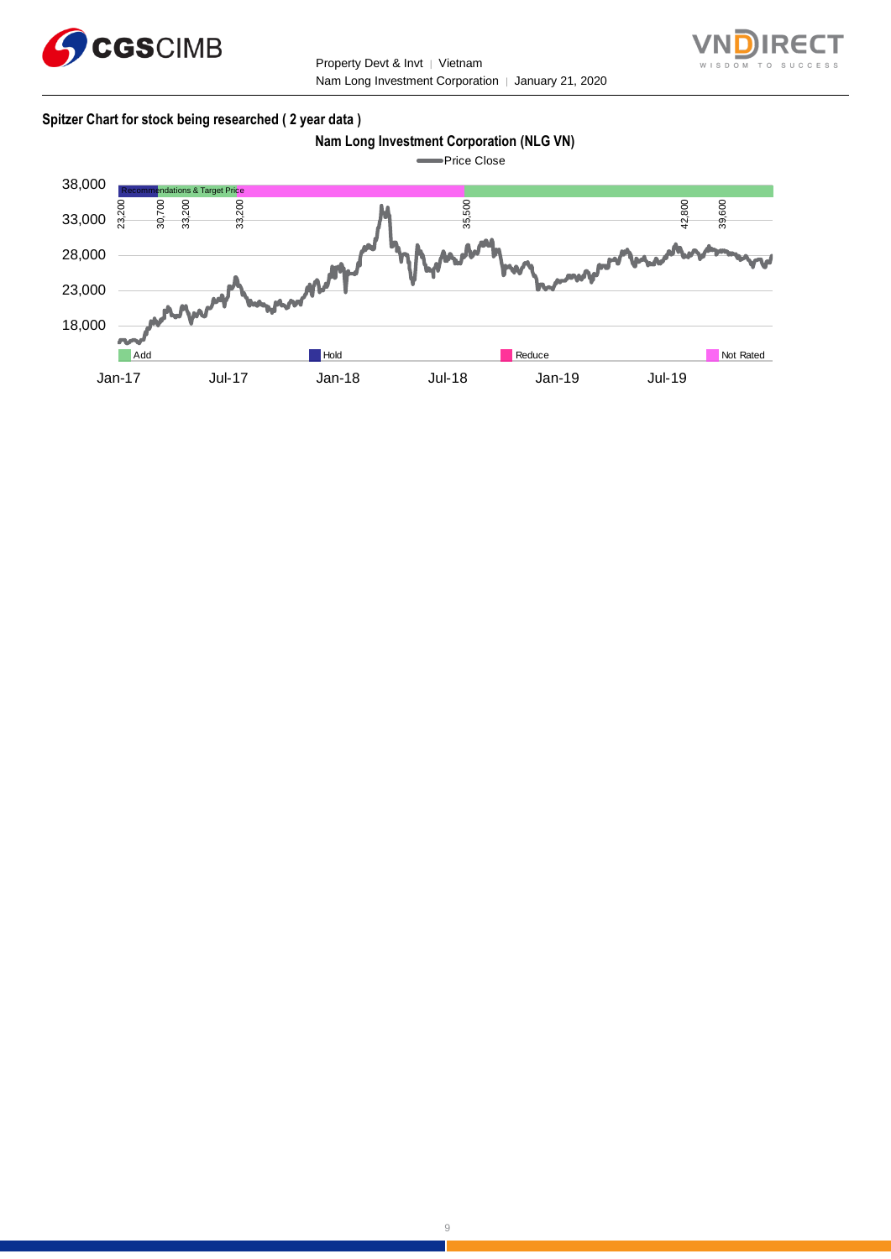

Property Devt & Invt │ Vietnam Nam Long Investment Corporation | January 21, 2020



#### **Spitzer Chart for stock being researched ( 2 year data )**

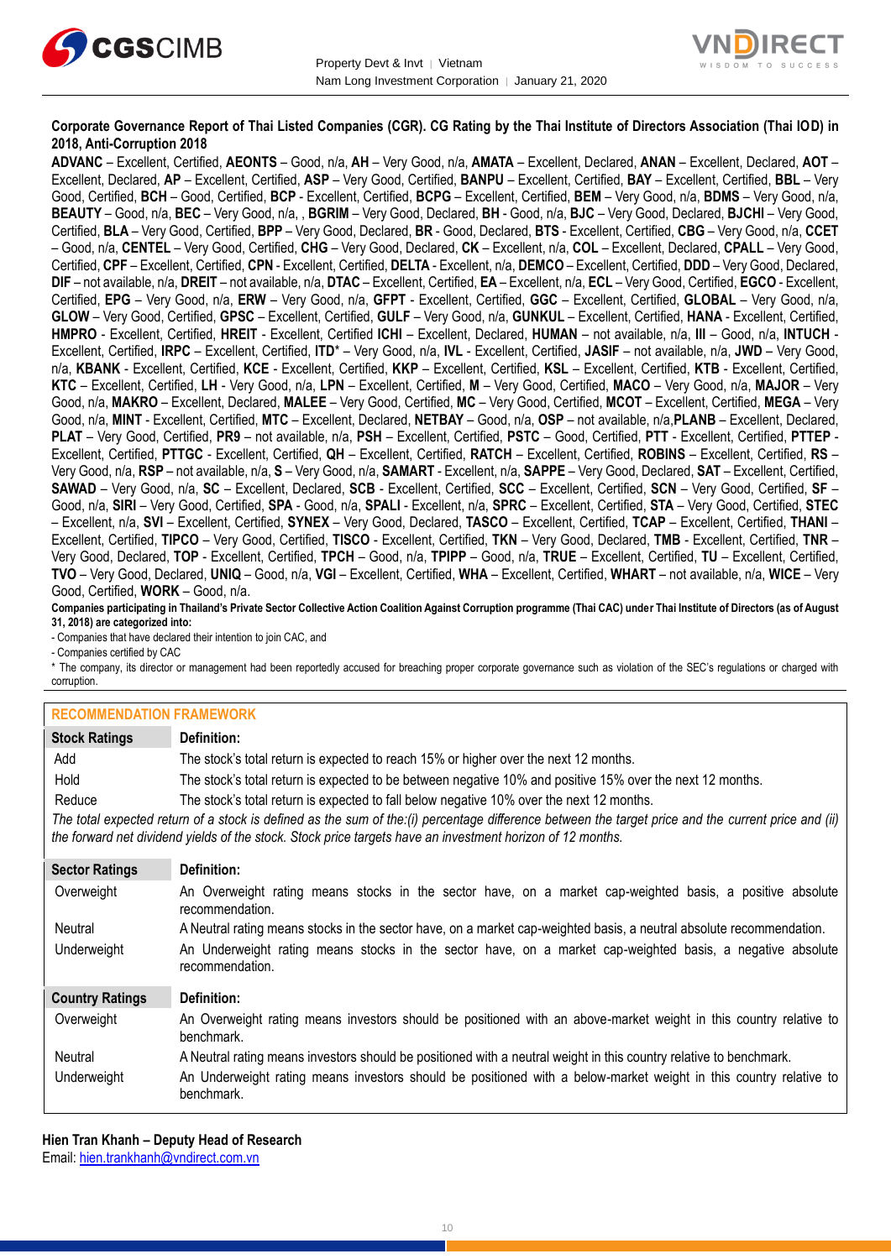



#### **Corporate Governance Report of Thai Listed Companies (CGR). CG Rating by the Thai Institute of Directors Association (Thai IOD) in 2018, Anti-Corruption 2018**

**ADVANC** – Excellent, Certified, **AEONTS** – Good, n/a, **AH** – Very Good, n/a, **AMATA** – Excellent, Declared, **ANAN** – Excellent, Declared, **AOT** – Excellent, Declared, **AP** – Excellent, Certified, **ASP** – Very Good, Certified, **BANPU** – Excellent, Certified, **BAY** – Excellent, Certified, **BBL** – Very Good, Certified, **BCH** – Good, Certified, **BCP** - Excellent, Certified, **BCPG** – Excellent, Certified, **BEM** – Very Good, n/a, **BDMS** – Very Good, n/a, **BEAUTY** – Good, n/a, **BEC** – Very Good, n/a, , **BGRIM** – Very Good, Declared, **BH** - Good, n/a, **BJC** – Very Good, Declared, **BJCHI** – Very Good, Certified, **BLA** – Very Good, Certified, **BPP** – Very Good, Declared, **BR** - Good, Declared, **BTS** - Excellent, Certified, **CBG** – Very Good, n/a, **CCET** – Good, n/a, **CENTEL** – Very Good, Certified, **CHG** – Very Good, Declared, **CK** – Excellent, n/a, **COL** – Excellent, Declared, **CPALL** – Very Good, Certified, **CPF** – Excellent, Certified, **CPN** - Excellent, Certified, **DELTA** - Excellent, n/a, **DEMCO** – Excellent, Certified, **DDD** – Very Good, Declared, **DIF** – not available, n/a, **DREIT** – not available, n/a, **DTAC** – Excellent, Certified, **EA** – Excellent, n/a, **ECL** – Very Good, Certified, **EGCO** - Excellent, Certified, **EPG** – Very Good, n/a, **ERW** – Very Good, n/a, **GFPT** - Excellent, Certified, **GGC** – Excellent, Certified, **GLOBAL** – Very Good, n/a, **GLOW** – Very Good, Certified, **GPSC** – Excellent, Certified, **GULF** – Very Good, n/a, **GUNKUL** – Excellent, Certified, **HANA** - Excellent, Certified, **HMPRO** - Excellent, Certified, **HREIT** - Excellent, Certified **ICHI** – Excellent, Declared, **HUMAN** – not available, n/a, **III** – Good, n/a, **INTUCH** - Excellent, Certified, **IRPC** – Excellent, Certified, **ITD**\* – Very Good, n/a, **IVL** - Excellent, Certified, **JASIF** – not available, n/a, **JWD** – Very Good, n/a, **KBANK** - Excellent, Certified, **KCE** - Excellent, Certified, **KKP** – Excellent, Certified, **KSL** – Excellent, Certified, **KTB** - Excellent, Certified, **KTC** – Excellent, Certified, **LH** - Very Good, n/a, **LPN** – Excellent, Certified, **M** – Very Good, Certified, **MACO** – Very Good, n/a, **MAJOR** – Very Good, n/a, **MAKRO** – Excellent, Declared, **MALEE** – Very Good, Certified, **MC** – Very Good, Certified, **MCOT** – Excellent, Certified, **MEGA** – Very Good, n/a, **MINT** - Excellent, Certified, **MTC** – Excellent, Declared, **NETBAY** – Good, n/a, **OSP** – not available, n/a,**PLANB** – Excellent, Declared, **PLAT** – Very Good, Certified, **PR9** – not available, n/a, **PSH** – Excellent, Certified, **PSTC** – Good, Certified, **PTT** - Excellent, Certified, **PTTEP** - Excellent, Certified, **PTTGC** - Excellent, Certified, **QH** – Excellent, Certified, **RATCH** – Excellent, Certified, **ROBINS** – Excellent, Certified, **RS** – Very Good, n/a, **RSP** – not available, n/a, **S** – Very Good, n/a, **SAMART** - Excellent, n/a, **SAPPE** – Very Good, Declared, **SAT** – Excellent, Certified, **SAWAD** – Very Good, n/a, **SC** – Excellent, Declared, **SCB** - Excellent, Certified, **SCC** – Excellent, Certified, **SCN** – Very Good, Certified, **SF** – Good, n/a, **SIRI** – Very Good, Certified, **SPA** - Good, n/a, **SPALI** - Excellent, n/a, **SPRC** – Excellent, Certified, **STA** – Very Good, Certified, **STEC** – Excellent, n/a, **SVI** – Excellent, Certified, **SYNEX** – Very Good, Declared, **TASCO** – Excellent, Certified, **TCAP** – Excellent, Certified, **THANI** – Excellent, Certified, **TIPCO** – Very Good, Certified, **TISCO** - Excellent, Certified, **TKN** – Very Good, Declared, **TMB** - Excellent, Certified, **TNR** – Very Good, Declared, **TOP** - Excellent, Certified, **TPCH** – Good, n/a, **TPIPP** – Good, n/a, **TRUE** – Excellent, Certified, **TU** – Excellent, Certified, **TVO** – Very Good, Declared, **UNIQ** – Good, n/a, **VGI** – Excellent, Certified, **WHA** – Excellent, Certified, **WHART** – not available, n/a, **WICE** – Very Good, Certified, **WORK** – Good, n/a.

**Companies participating in Thailand's Private Sector Collective Action Coalition Against Corruption programme (Thai CAC) under Thai Institute of Directors (as of August 31, 2018) are categorized into:**

- Companies that have declared their intention to join CAC, and

- Companies certified by CAC

\* The company, its director or management had been reportedly accused for breaching proper corporate governance such as violation of the SEC's regulations or charged with corruption.

#### **RECOMMENDATION FRAMEWORK**

| INLUUININLINDAITUIN LINAINLINUINN |                                                                                                                                                                                                                                                                   |
|-----------------------------------|-------------------------------------------------------------------------------------------------------------------------------------------------------------------------------------------------------------------------------------------------------------------|
| <b>Stock Ratings</b>              | Definition:                                                                                                                                                                                                                                                       |
| Add                               | The stock's total return is expected to reach 15% or higher over the next 12 months.                                                                                                                                                                              |
| Hold                              | The stock's total return is expected to be between negative 10% and positive 15% over the next 12 months.                                                                                                                                                         |
| Reduce                            | The stock's total return is expected to fall below negative 10% over the next 12 months.                                                                                                                                                                          |
|                                   | The total expected return of a stock is defined as the sum of the:(i) percentage difference between the target price and the current price and (ii)<br>the forward net dividend yields of the stock. Stock price targets have an investment horizon of 12 months. |
| <b>Sector Ratings</b>             | Definition:                                                                                                                                                                                                                                                       |
| Overweight                        | An Overweight rating means stocks in the sector have, on a market cap-weighted basis, a positive absolute<br>recommendation.                                                                                                                                      |
| Neutral                           | A Neutral rating means stocks in the sector have, on a market cap-weighted basis, a neutral absolute recommendation.                                                                                                                                              |
| Underweight                       | An Underweight rating means stocks in the sector have, on a market cap-weighted basis, a negative absolute<br>recommendation.                                                                                                                                     |
| <b>Country Ratings</b>            | Definition:                                                                                                                                                                                                                                                       |
| Overweight                        | An Overweight rating means investors should be positioned with an above-market weight in this country relative to<br>benchmark.                                                                                                                                   |
| Neutral                           | A Neutral rating means investors should be positioned with a neutral weight in this country relative to benchmark.                                                                                                                                                |
| Underweight                       | An Underweight rating means investors should be positioned with a below-market weight in this country relative to<br>benchmark.                                                                                                                                   |

**Hien Tran Khanh – Deputy Head of Research** Email: [hien.trankhanh@vndirect.com.vn](mailto:hien.trankhanh@vndirect.com.vn)